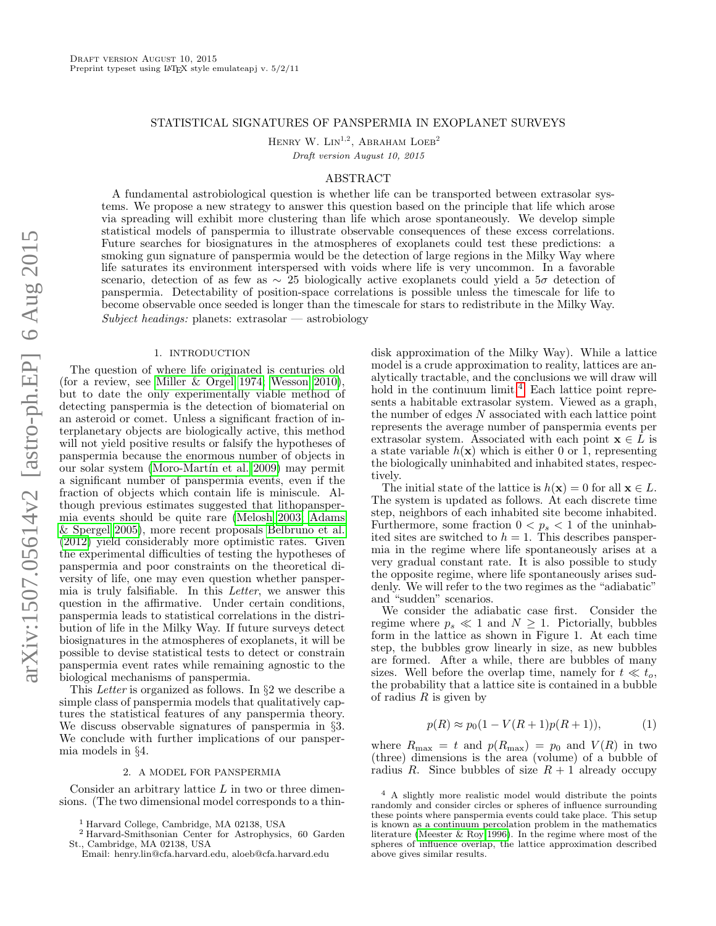# STATISTICAL SIGNATURES OF PANSPERMIA IN EXOPLANET SURVEYS

HENRY W.  $\text{Lin}^{1,2}$ , ABRAHAM  $\text{LOEB}^2$ 

Draft version August 10, 2015

# ABSTRACT

A fundamental astrobiological question is whether life can be transported between extrasolar systems. We propose a new strategy to answer this question based on the principle that life which arose via spreading will exhibit more clustering than life which arose spontaneously. We develop simple statistical models of panspermia to illustrate observable consequences of these excess correlations. Future searches for biosignatures in the atmospheres of exoplanets could test these predictions: a smoking gun signature of panspermia would be the detection of large regions in the Milky Way where life saturates its environment interspersed with voids where life is very uncommon. In a favorable scenario, detection of as few as ∼ 25 biologically active exoplanets could yield a 5σ detection of panspermia. Detectability of position-space correlations is possible unless the timescale for life to become observable once seeded is longer than the timescale for stars to redistribute in the Milky Way.  $Subject$  headings: planets: extrasolar — astrobiology

## 1. INTRODUCTION

The question of where life originated is centuries old (for a review, see [Miller & Orgel 1974;](#page-4-0) [Wesson 2010\)](#page-4-1), but to date the only experimentally viable method of detecting panspermia is the detection of biomaterial on an asteroid or comet. Unless a significant fraction of interplanetary objects are biologically active, this method will not yield positive results or falsify the hypotheses of panspermia because the enormous number of objects in our solar system [\(Moro-Mart´ın et al. 2009\)](#page-4-2) may permit a significant number of panspermia events, even if the fraction of objects which contain life is miniscule. Although previous estimates suggested that lithopanspermia events should be quite rare [\(Melosh 2003;](#page-4-3) [Adams](#page-3-0) [& Spergel 2005\)](#page-3-0), more recent proposals [Belbruno et al.](#page-3-1) [\(2012\)](#page-3-1) yield considerably more optimistic rates. Given the experimental difficulties of testing the hypotheses of panspermia and poor constraints on the theoretical diversity of life, one may even question whether panspermia is truly falsifiable. In this Letter, we answer this question in the affirmative. Under certain conditions, panspermia leads to statistical correlations in the distribution of life in the Milky Way. If future surveys detect biosignatures in the atmospheres of exoplanets, it will be possible to devise statistical tests to detect or constrain panspermia event rates while remaining agnostic to the biological mechanisms of panspermia.

This Letter is organized as follows. In §2 we describe a simple class of panspermia models that qualitatively captures the statistical features of any panspermia theory. We discuss observable signatures of panspermia in §3. We conclude with further implications of our panspermia models in §4.

## 2. A MODEL FOR PANSPERMIA

Consider an arbitrary lattice  $L$  in two or three dimensions. (The two dimensional model corresponds to a thin-

disk approximation of the Milky Way). While a lattice model is a crude approximation to reality, lattices are analytically tractable, and the conclusions we will draw will hold in the continuum limit.<sup>[4](#page-0-0)</sup> Each lattice point represents a habitable extrasolar system. Viewed as a graph, the number of edges  $N$  associated with each lattice point represents the average number of panspermia events per extrasolar system. Associated with each point  $\mathbf{x} \in L$  is a state variable  $h(\mathbf{x})$  which is either 0 or 1, representing the biologically uninhabited and inhabited states, respectively.

The initial state of the lattice is  $h(\mathbf{x}) = 0$  for all  $\mathbf{x} \in L$ . The system is updated as follows. At each discrete time step, neighbors of each inhabited site become inhabited. Furthermore, some fraction  $0 < p_s < 1$  of the uninhabited sites are switched to  $h = 1$ . This describes panspermia in the regime where life spontaneously arises at a very gradual constant rate. It is also possible to study the opposite regime, where life spontaneously arises suddenly. We will refer to the two regimes as the "adiabatic" and "sudden" scenarios.

We consider the adiabatic case first. Consider the regime where  $p_s \ll 1$  and  $N \geq 1$ . Pictorially, bubbles form in the lattice as shown in Figure 1. At each time step, the bubbles grow linearly in size, as new bubbles are formed. After a while, there are bubbles of many sizes. Well before the overlap time, namely for  $t \ll t_o$ , the probability that a lattice site is contained in a bubble of radius  $R$  is given by

$$
p(R) \approx p_0(1 - V(R+1)p(R+1)),
$$
 (1)

where  $R_{\text{max}} = t$  and  $p(R_{\text{max}}) = p_0$  and  $V(R)$  in two (three) dimensions is the area (volume) of a bubble of radius R. Since bubbles of size  $R + 1$  already occupy

<sup>1</sup> Harvard College, Cambridge, MA 02138, USA

<sup>2</sup> Harvard-Smithsonian Center for Astrophysics, 60 Garden St., Cambridge, MA 02138, USA

Email: henry.lin@cfa.harvard.edu, aloeb@cfa.harvard.edu

<span id="page-0-0"></span><sup>4</sup> A slightly more realistic model would distribute the points randomly and consider circles or spheres of influence surrounding these points where panspermia events could take place. This setup is known as a continuum percolation problem in the mathematics literature [\(Meester & Roy 1996\)](#page-4-4). In the regime where most of the spheres of influence overlap, the lattice approximation described above gives similar results.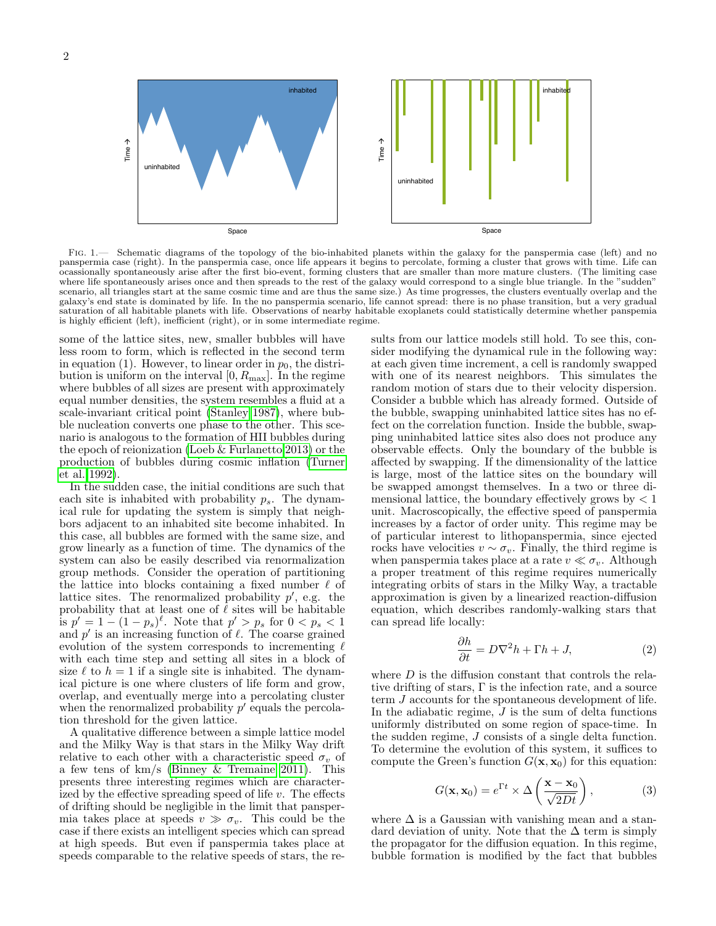

FIG. 1.— Schematic diagrams of the topology of the bio-inhabited planets within the galaxy for the panspermia case (left) and no panspermia case (right). In the panspermia case, once life appears it begins to percolate, forming a cluster that grows with time. Life can ocassionally spontaneously arise after the first bio-event, forming clusters that are smaller than more mature clusters. (The limiting case where life spontaneously arises once and then spreads to the rest of the galaxy would correspond to a single blue triangle. In the "sudden" scenario, all triangles start at the same cosmic time and are thus the same size.) As time progresses, the clusters eventually overlap and the galaxy's end state is dominated by life. In the no panspermia scenario, life cannot spread: there is no phase transition, but a very gradual saturation of all habitable planets with life. Observations of nearby habitable exoplanets could statistically determine whether panspemia is highly efficient (left), inefficient (right), or in some intermediate regime.

some of the lattice sites, new, smaller bubbles will have less room to form, which is reflected in the second term in equation (1). However, to linear order in  $p_0$ , the distribution is uniform on the interval  $[0, R_{\text{max}}]$ . In the regime where bubbles of all sizes are present with approximately equal number densities, the system resembles a fluid at a scale-invariant critical point [\(Stanley 1987\)](#page-4-5), where bubble nucleation converts one phase to the other. This scenario is analogous to the formation of HII bubbles during the epoch of reionization [\(Loeb & Furlanetto 2013\)](#page-4-6) or the production of bubbles during cosmic inflation [\(Turner](#page-4-7) [et al. 1992\)](#page-4-7).

In the sudden case, the initial conditions are such that each site is inhabited with probability  $p_s$ . The dynamical rule for updating the system is simply that neighbors adjacent to an inhabited site become inhabited. In this case, all bubbles are formed with the same size, and grow linearly as a function of time. The dynamics of the system can also be easily described via renormalization group methods. Consider the operation of partitioning the lattice into blocks containing a fixed number  $\ell$  of lattice sites. The renormalized probability  $p'$ , e.g. the probability that at least one of  $\ell$  sites will be habitable is  $p' = 1 - (1 - p_s)^{\ell}$ . Note that  $p' > p_s$  for  $0 < p_s < 1$ and  $p'$  is an increasing function of  $\ell$ . The coarse grained evolution of the system corresponds to incrementing  $\ell$ with each time step and setting all sites in a block of size  $\ell$  to  $h = 1$  if a single site is inhabited. The dynamical picture is one where clusters of life form and grow, overlap, and eventually merge into a percolating cluster when the renormalized probability  $p'$  equals the percolation threshold for the given lattice.

A qualitative difference between a simple lattice model and the Milky Way is that stars in the Milky Way drift relative to each other with a characteristic speed  $\sigma_v$  of a few tens of km/s [\(Binney & Tremaine 2011\)](#page-4-8). This presents three interesting regimes which are characterized by the effective spreading speed of life  $v$ . The effects of drifting should be negligible in the limit that panspermia takes place at speeds  $v \gg \sigma_v$ . This could be the case if there exists an intelligent species which can spread at high speeds. But even if panspermia takes place at speeds comparable to the relative speeds of stars, the results from our lattice models still hold. To see this, consider modifying the dynamical rule in the following way: at each given time increment, a cell is randomly swapped with one of its nearest neighbors. This simulates the random motion of stars due to their velocity dispersion. Consider a bubble which has already formed. Outside of the bubble, swapping uninhabited lattice sites has no effect on the correlation function. Inside the bubble, swapping uninhabited lattice sites also does not produce any observable effects. Only the boundary of the bubble is affected by swapping. If the dimensionality of the lattice is large, most of the lattice sites on the boundary will be swapped amongst themselves. In a two or three dimensional lattice, the boundary effectively grows by  $\lt 1$ unit. Macroscopically, the effective speed of panspermia increases by a factor of order unity. This regime may be of particular interest to lithopanspermia, since ejected rocks have velocities  $v \sim \sigma_v$ . Finally, the third regime is when panspermia takes place at a rate  $v \ll \sigma_v$ . Although a proper treatment of this regime requires numerically integrating orbits of stars in the Milky Way, a tractable approximation is given by a linearized reaction-diffusion equation, which describes randomly-walking stars that can spread life locally:

$$
\frac{\partial h}{\partial t} = D\nabla^2 h + \Gamma h + J,\tag{2}
$$

where  $D$  is the diffusion constant that controls the relative drifting of stars,  $\Gamma$  is the infection rate, and a source term J accounts for the spontaneous development of life. In the adiabatic regime,  $J$  is the sum of delta functions uniformly distributed on some region of space-time. In the sudden regime, J consists of a single delta function. To determine the evolution of this system, it suffices to compute the Green's function  $G(\mathbf{x}, \mathbf{x}_0)$  for this equation:

$$
G(\mathbf{x}, \mathbf{x}_0) = e^{\Gamma t} \times \Delta \left( \frac{\mathbf{x} - \mathbf{x}_0}{\sqrt{2Dt}} \right), \tag{3}
$$

where  $\Delta$  is a Gaussian with vanishing mean and a standard deviation of unity. Note that the  $\Delta$  term is simply the propagator for the diffusion equation. In this regime, bubble formation is modified by the fact that bubbles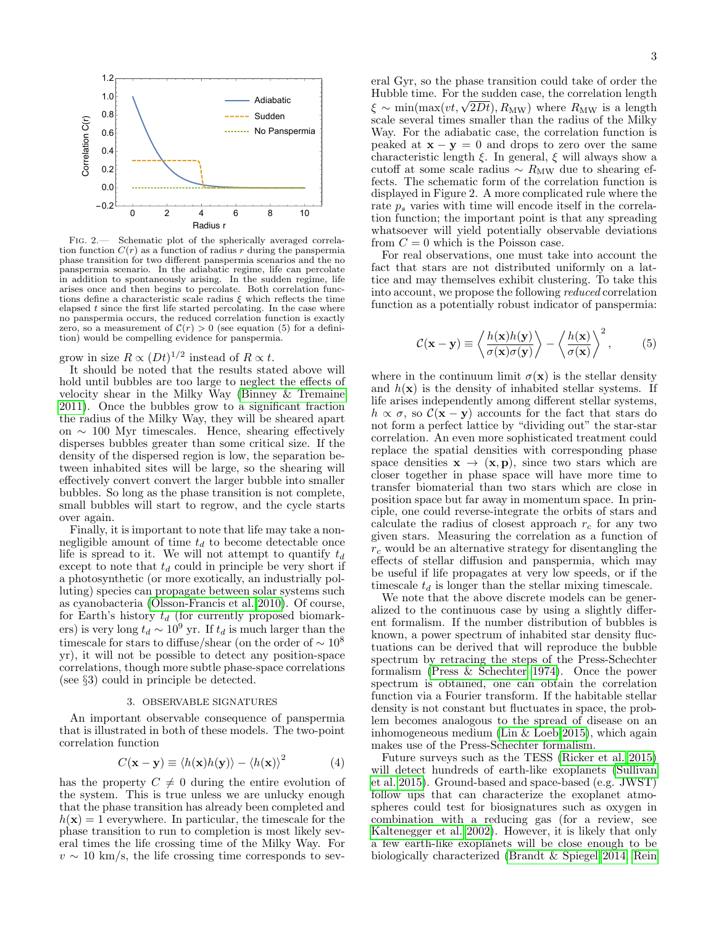

Fig. 2.— Schematic plot of the spherically averaged correlation function  $C(r)$  as a function of radius r during the panspermia phase transition for two different panspermia scenarios and the no panspermia scenario. In the adiabatic regime, life can percolate in addition to spontaneously arising. In the sudden regime, life arises once and then begins to percolate. Both correlation functions define a characteristic scale radius  $\xi$  which reflects the time elapsed  $t$  since the first life started percolating. In the case where no panspermia occurs, the reduced correlation function is exactly zero, so a measurement of  $C(r) > 0$  (see equation (5) for a definition) would be compelling evidence for panspermia.

grow in size  $R \propto (Dt)^{1/2}$  instead of  $R \propto t$ .

It should be noted that the results stated above will hold until bubbles are too large to neglect the effects of velocity shear in the Milky Way [\(Binney & Tremaine](#page-4-8) [2011\)](#page-4-8). Once the bubbles grow to a significant fraction the radius of the Milky Way, they will be sheared apart on ∼ 100 Myr timescales. Hence, shearing effectively disperses bubbles greater than some critical size. If the density of the dispersed region is low, the separation between inhabited sites will be large, so the shearing will effectively convert convert the larger bubble into smaller bubbles. So long as the phase transition is not complete, small bubbles will start to regrow, and the cycle starts over again.

Finally, it is important to note that life may take a nonnegligible amount of time  $t_d$  to become detectable once life is spread to it. We will not attempt to quantify  $t_d$ except to note that  $t_d$  could in principle be very short if a photosynthetic (or more exotically, an industrially polluting) species can propagate between solar systems such as cyanobacteria [\(Olsson-Francis et al. 2010\)](#page-4-9). Of course, for Earth's history  $t_d$  (for currently proposed biomarkers) is very long  $t_d \sim 10^9$  yr. If  $t_d$  is much larger than the timescale for stars to diffuse/shear (on the order of  $\sim 10^8$ ) yr), it will not be possible to detect any position-space correlations, though more subtle phase-space correlations (see §3) could in principle be detected.

## 3. OBSERVABLE SIGNATURES

An important observable consequence of panspermia that is illustrated in both of these models. The two-point correlation function

$$
C(\mathbf{x} - \mathbf{y}) \equiv \langle h(\mathbf{x})h(\mathbf{y}) \rangle - \langle h(\mathbf{x}) \rangle^2 \tag{4}
$$

has the property  $C \neq 0$  during the entire evolution of the system. This is true unless we are unlucky enough that the phase transition has already been completed and  $h(\mathbf{x}) = 1$  everywhere. In particular, the timescale for the phase transition to run to completion is most likely several times the life crossing time of the Milky Way. For  $v \sim 10 \text{ km/s}$ , the life crossing time corresponds to several Gyr, so the phase transition could take of order the Hubble time. For the sudden case, the correlation length Hubble time. For the sudden case, the correlation length  $\xi \sim \min(\max(vt, \sqrt{2Dt}), R_{\text{MW}})$  where  $R_{\text{MW}}$  is a length scale several times smaller than the radius of the Milky Way. For the adiabatic case, the correlation function is peaked at  $\mathbf{x} - \mathbf{y} = 0$  and drops to zero over the same characteristic length  $\xi$ . In general,  $\xi$  will always show a cutoff at some scale radius  $\sim R_{\rm MW}$  due to shearing effects. The schematic form of the correlation function is displayed in Figure 2. A more complicated rule where the rate  $p_s$  varies with time will encode itself in the correlation function; the important point is that any spreading whatsoever will yield potentially observable deviations from  $C = 0$  which is the Poisson case.

For real observations, one must take into account the fact that stars are not distributed uniformly on a lattice and may themselves exhibit clustering. To take this into account, we propose the following reduced correlation function as a potentially robust indicator of panspermia:

$$
\mathcal{C}(\mathbf{x} - \mathbf{y}) \equiv \left\langle \frac{h(\mathbf{x})h(\mathbf{y})}{\sigma(\mathbf{x})\sigma(\mathbf{y})} \right\rangle - \left\langle \frac{h(\mathbf{x})}{\sigma(\mathbf{x})} \right\rangle^{2}, \quad (5)
$$

where in the continuum limit  $\sigma(\mathbf{x})$  is the stellar density and  $h(\mathbf{x})$  is the density of inhabited stellar systems. If life arises independently among different stellar systems,  $h \propto \sigma$ , so  $\mathcal{C}(\mathbf{x} - \mathbf{y})$  accounts for the fact that stars do not form a perfect lattice by "dividing out" the star-star correlation. An even more sophisticated treatment could replace the spatial densities with corresponding phase space densities  $\mathbf{x} \to (\mathbf{x}, \mathbf{p})$ , since two stars which are closer together in phase space will have more time to transfer biomaterial than two stars which are close in position space but far away in momentum space. In principle, one could reverse-integrate the orbits of stars and calculate the radius of closest approach  $r_c$  for any two given stars. Measuring the correlation as a function of  $r_c$  would be an alternative strategy for disentangling the effects of stellar diffusion and panspermia, which may be useful if life propagates at very low speeds, or if the timescale  $t_d$  is longer than the stellar mixing timescale.

We note that the above discrete models can be generalized to the continuous case by using a slightly different formalism. If the number distribution of bubbles is known, a power spectrum of inhabited star density fluctuations can be derived that will reproduce the bubble spectrum by retracing the steps of the Press-Schechter formalism [\(Press & Schechter 1974\)](#page-4-10). Once the power spectrum is obtained, one can obtain the correlation function via a Fourier transform. If the habitable stellar density is not constant but fluctuates in space, the problem becomes analogous to the spread of disease on an inhomogeneous medium [\(Lin & Loeb 2015\)](#page-4-11), which again makes use of the Press-Schechter formalism.

Future surveys such as the TESS [\(Ricker et al. 2015\)](#page-4-12) will detect hundreds of earth-like exoplanets [\(Sullivan](#page-4-13) [et al. 2015\)](#page-4-13). Ground-based and space-based (e.g. JWST) follow ups that can characterize the exoplanet atmospheres could test for biosignatures such as oxygen in combination with a reducing gas (for a review, see [Kaltenegger et al. 2002\)](#page-4-14). However, it is likely that only a few earth-like exoplanets will be close enough to be biologically characterized [\(Brandt & Spiegel 2014;](#page-4-15) [Rein](#page-4-16)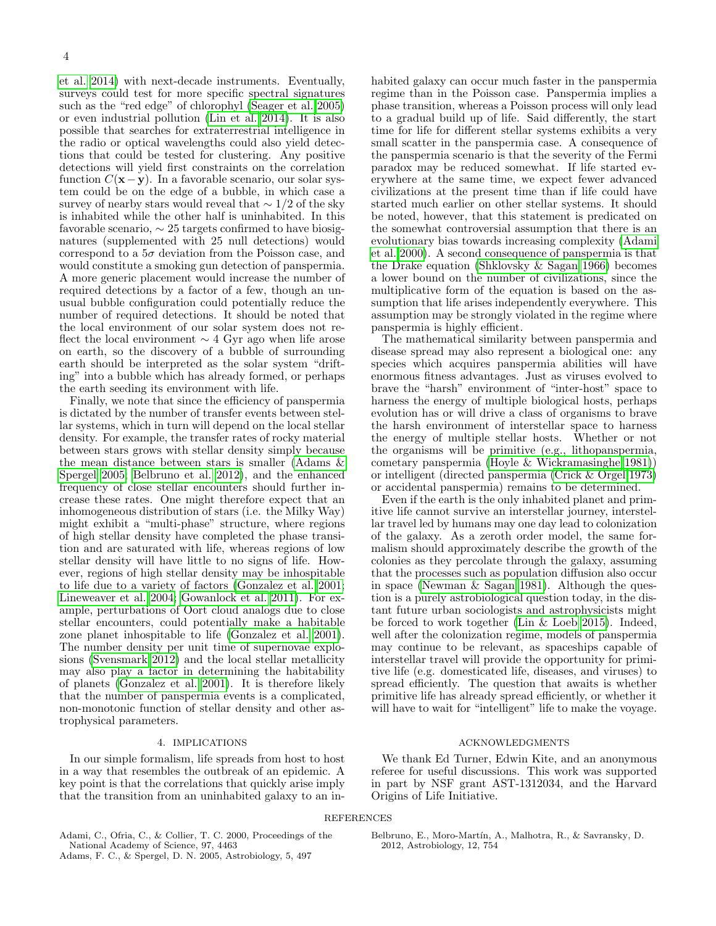[et al. 2014\)](#page-4-16) with next-decade instruments. Eventually, surveys could test for more specific spectral signatures such as the "red edge" of chlorophyl [\(Seager et al. 2005\)](#page-4-17) or even industrial pollution [\(Lin et al. 2014\)](#page-4-18). It is also possible that searches for extraterrestrial intelligence in the radio or optical wavelengths could also yield detections that could be tested for clustering. Any positive detections will yield first constraints on the correlation function  $C(\mathbf{x}-\mathbf{y})$ . In a favorable scenario, our solar system could be on the edge of a bubble, in which case a survey of nearby stars would reveal that  $\sim 1/2$  of the sky is inhabited while the other half is uninhabited. In this favorable scenario,  $\sim 25$  targets confirmed to have biosignatures (supplemented with 25 null detections) would correspond to a  $5\sigma$  deviation from the Poisson case, and would constitute a smoking gun detection of panspermia. A more generic placement would increase the number of required detections by a factor of a few, though an unusual bubble configuration could potentially reduce the number of required detections. It should be noted that the local environment of our solar system does not reflect the local environment ∼ 4 Gyr ago when life arose on earth, so the discovery of a bubble of surrounding earth should be interpreted as the solar system "drifting" into a bubble which has already formed, or perhaps the earth seeding its environment with life.

Finally, we note that since the efficiency of panspermia is dictated by the number of transfer events between stellar systems, which in turn will depend on the local stellar density. For example, the transfer rates of rocky material between stars grows with stellar density simply because the mean distance between stars is smaller [\(Adams &](#page-3-0) [Spergel 2005;](#page-3-0) [Belbruno et al. 2012\)](#page-3-1), and the enhanced frequency of close stellar encounters should further increase these rates. One might therefore expect that an inhomogeneous distribution of stars (i.e. the Milky Way) might exhibit a "multi-phase" structure, where regions of high stellar density have completed the phase transition and are saturated with life, whereas regions of low stellar density will have little to no signs of life. However, regions of high stellar density may be inhospitable to life due to a variety of factors [\(Gonzalez et al. 2001;](#page-4-19) [Lineweaver et al. 2004;](#page-4-20) [Gowanlock et al. 2011\)](#page-4-21). For example, perturbations of Oort cloud analogs due to close stellar encounters, could potentially make a habitable zone planet inhospitable to life [\(Gonzalez et al. 2001\)](#page-4-19). The number density per unit time of supernovae explosions [\(Svensmark 2012\)](#page-4-22) and the local stellar metallicity may also play a factor in determining the habitability of planets [\(Gonzalez et al. 2001\)](#page-4-19). It is therefore likely that the number of panspermia events is a complicated, non-monotonic function of stellar density and other astrophysical parameters.

## 4. IMPLICATIONS

In our simple formalism, life spreads from host to host in a way that resembles the outbreak of an epidemic. A key point is that the correlations that quickly arise imply that the transition from an uninhabited galaxy to an inhabited galaxy can occur much faster in the panspermia regime than in the Poisson case. Panspermia implies a phase transition, whereas a Poisson process will only lead to a gradual build up of life. Said differently, the start time for life for different stellar systems exhibits a very small scatter in the panspermia case. A consequence of the panspermia scenario is that the severity of the Fermi paradox may be reduced somewhat. If life started everywhere at the same time, we expect fewer advanced civilizations at the present time than if life could have started much earlier on other stellar systems. It should be noted, however, that this statement is predicated on the somewhat controversial assumption that there is an evolutionary bias towards increasing complexity [\(Adami](#page-3-2) [et al. 2000\)](#page-3-2). A second consequence of panspermia is that the Drake equation [\(Shklovsky & Sagan 1966\)](#page-4-23) becomes a lower bound on the number of civilizations, since the multiplicative form of the equation is based on the assumption that life arises independently everywhere. This assumption may be strongly violated in the regime where panspermia is highly efficient.

The mathematical similarity between panspermia and disease spread may also represent a biological one: any species which acquires panspermia abilities will have enormous fitness advantages. Just as viruses evolved to brave the "harsh" environment of "inter-host" space to harness the energy of multiple biological hosts, perhaps evolution has or will drive a class of organisms to brave the harsh environment of interstellar space to harness the energy of multiple stellar hosts. Whether or not the organisms will be primitive (e.g., lithopanspermia, cometary panspermia [\(Hoyle & Wickramasinghe 1981\)](#page-4-24)) or intelligent (directed panspermia [\(Crick & Orgel 1973\)](#page-4-25) or accidental panspermia) remains to be determined.

Even if the earth is the only inhabited planet and primitive life cannot survive an interstellar journey, interstellar travel led by humans may one day lead to colonization of the galaxy. As a zeroth order model, the same formalism should approximately describe the growth of the colonies as they percolate through the galaxy, assuming that the processes such as population diffusion also occur in space [\(Newman & Sagan 1981\)](#page-4-26). Although the question is a purely astrobiological question today, in the distant future urban sociologists and astrophysicists might be forced to work together [\(Lin & Loeb 2015\)](#page-4-11). Indeed, well after the colonization regime, models of panspermia may continue to be relevant, as spaceships capable of interstellar travel will provide the opportunity for primitive life (e.g. domesticated life, diseases, and viruses) to spread efficiently. The question that awaits is whether primitive life has already spread efficiently, or whether it will have to wait for "intelligent" life to make the voyage.

#### ACKNOWLEDGMENTS

We thank Ed Turner, Edwin Kite, and an anonymous referee for useful discussions. This work was supported in part by NSF grant AST-1312034, and the Harvard Origins of Life Initiative.

## REFERENCES

<span id="page-3-2"></span>Adami, C., Ofria, C., & Collier, T. C. 2000, Proceedings of the National Academy of Science, 97, 4463

<span id="page-3-0"></span>Adams, F. C., & Spergel, D. N. 2005, Astrobiology, 5, 497

<span id="page-3-1"></span>Belbruno, E., Moro-Martín, A., Malhotra, R., & Savransky, D. 2012, Astrobiology, 12, 754